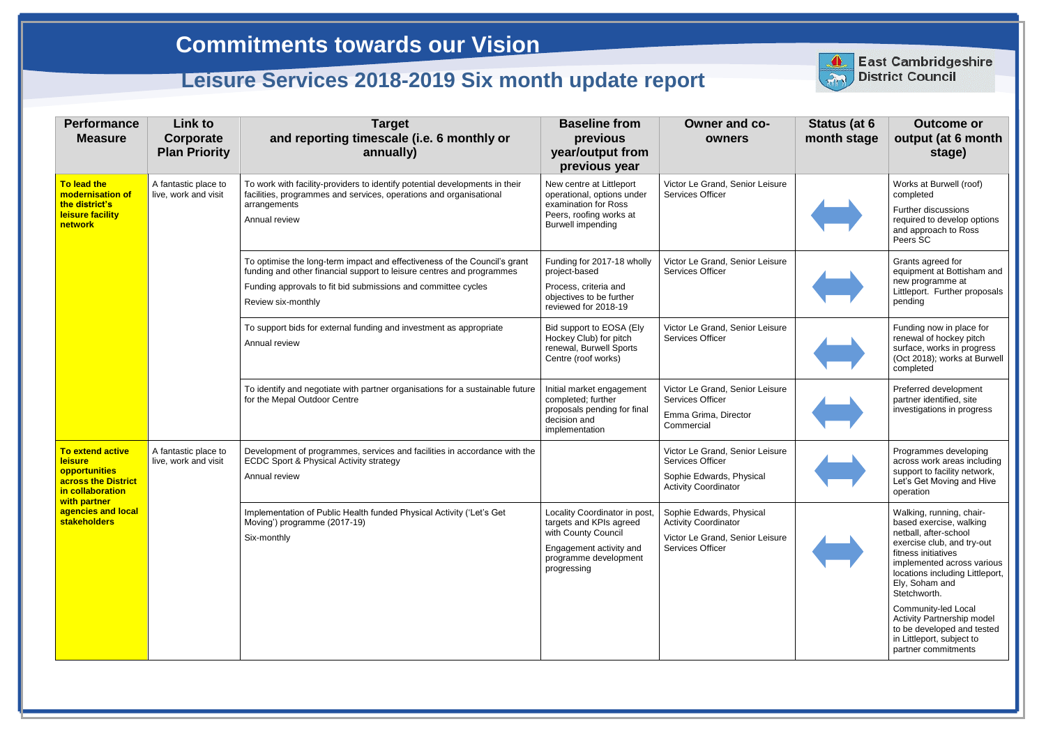| <b>Performance</b><br><b>Measure</b>                                                                                                                               | <b>Link to</b><br>Corporate<br><b>Plan Priority</b> | <b>Target</b><br>and reporting timescale (i.e. 6 monthly or<br>annually)                                                                                                                                                                  | <b>Baseline from</b><br>previous<br>year/output from<br>previous year                                                                              | <b>Owner and co-</b><br>owners                                                                                        | Status (at 6<br>month stage | <b>Outcome or</b><br>output (at 6 month<br>stage)                                                                                                                                                                                    |
|--------------------------------------------------------------------------------------------------------------------------------------------------------------------|-----------------------------------------------------|-------------------------------------------------------------------------------------------------------------------------------------------------------------------------------------------------------------------------------------------|----------------------------------------------------------------------------------------------------------------------------------------------------|-----------------------------------------------------------------------------------------------------------------------|-----------------------------|--------------------------------------------------------------------------------------------------------------------------------------------------------------------------------------------------------------------------------------|
| To lead the<br>modernisation of<br>the district's<br>leisure facility<br>network                                                                                   | A fantastic place to<br>live, work and visit        | To work with facility-providers to identify potential developments in their<br>facilities, programmes and services, operations and organisational<br>arrangements<br>Annual review                                                        | New centre at Littleport<br>operational, options under<br>examination for Ross<br>Peers, roofing works at<br><b>Burwell impending</b>              | Victor Le Grand, Senior Leisure<br>Services Officer                                                                   |                             | Works at Burwell (roof)<br>completed<br>Further discussions<br>required to develop options<br>and approach to Ross<br>Peers SC                                                                                                       |
|                                                                                                                                                                    |                                                     | To optimise the long-term impact and effectiveness of the Council's grant<br>funding and other financial support to leisure centres and programmes<br>Funding approvals to fit bid submissions and committee cycles<br>Review six-monthly | Funding for 2017-18 wholly<br>project-based<br>Process, criteria and<br>objectives to be further<br>reviewed for 2018-19                           | Victor Le Grand, Senior Leisure<br><b>Services Officer</b>                                                            |                             | Grants agreed for<br>equipment at Bottisham and<br>new programme at<br>Littleport. Further proposals<br>pending                                                                                                                      |
|                                                                                                                                                                    |                                                     | To support bids for external funding and investment as appropriate<br>Annual review                                                                                                                                                       | Bid support to EOSA (Ely<br>Hockey Club) for pitch<br>renewal, Burwell Sports<br>Centre (roof works)                                               | Victor Le Grand, Senior Leisure<br>Services Officer                                                                   |                             | Funding now in place for<br>renewal of hockey pitch<br>surface, works in progress<br>(Oct 2018); works at Burwell<br>completed                                                                                                       |
|                                                                                                                                                                    |                                                     | To identify and negotiate with partner organisations for a sustainable future<br>for the Mepal Outdoor Centre                                                                                                                             | Initial market engagement<br>completed; further<br>proposals pending for final<br>decision and<br>implementation                                   | Victor Le Grand, Senior Leisure<br>Services Officer<br>Emma Grima, Director<br>Commercial                             |                             | Preferred development<br>partner identified, site<br>investigations in progress                                                                                                                                                      |
| <b>To extend active</b><br><b>leisure</b><br>opportunities<br>across the District<br>in collaboration<br>with partner<br>agencies and local<br><b>stakeholders</b> | A fantastic place to<br>live, work and visit        | Development of programmes, services and facilities in accordance with the<br><b>ECDC Sport &amp; Physical Activity strategy</b><br>Annual review                                                                                          |                                                                                                                                                    | Victor Le Grand, Senior Leisure<br>Services Officer<br>Sophie Edwards, Physical<br><b>Activity Coordinator</b>        |                             | Programmes developing<br>across work areas including<br>support to facility network,<br>Let's Get Moving and Hive<br>operation                                                                                                       |
|                                                                                                                                                                    |                                                     | Implementation of Public Health funded Physical Activity ('Let's Get<br>Moving') programme (2017-19)<br>Six-monthly                                                                                                                       | Locality Coordinator in post,<br>targets and KPIs agreed<br>with County Council<br>Engagement activity and<br>programme development<br>progressing | Sophie Edwards, Physical<br><b>Activity Coordinator</b><br>Victor Le Grand, Senior Leisure<br><b>Services Officer</b> |                             | Walking, running, chair-<br>based exercise, walking<br>netball, after-school<br>exercise club, and try-out<br>fitness initiatives<br>implemented across various<br>locations including Littleport,<br>Ely, Soham and<br>Stetchworth. |
|                                                                                                                                                                    |                                                     |                                                                                                                                                                                                                                           |                                                                                                                                                    |                                                                                                                       |                             | Community-led Local<br>Activity Partnership model<br>to be developed and tested<br>in Littleport, subject to<br>partner commitments                                                                                                  |



## **East Cambridgeshire**<br>District Council

## **Commitments towards our Vision**

## **Leisure Services 2018-2019 Six month update report**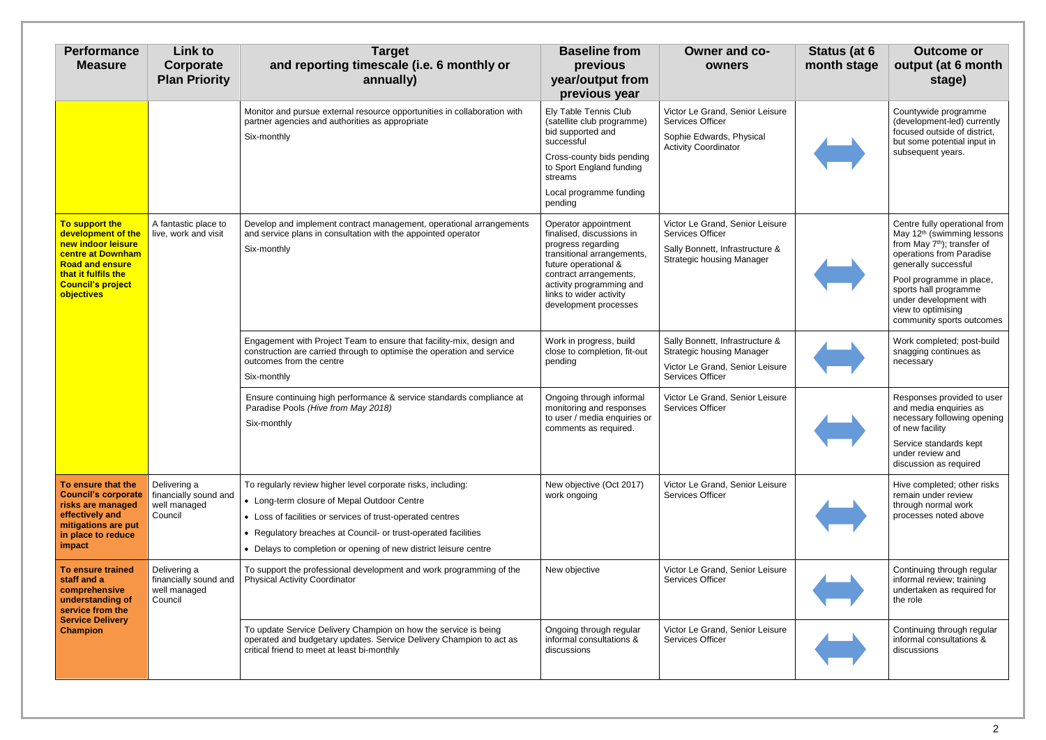| <b>Performance</b><br><b>Measure</b>                                                                                                                                       | <b>Link to</b><br>Corporate<br><b>Plan Priority</b>              | <b>Target</b><br>and reporting timescale (i.e. 6 monthly or<br>annually)                                                                                                                                                                                                                                        | <b>Baseline from</b><br>previous<br>year/output from<br>previous year                                                                                                                                                                   | <b>Owner and co-</b><br>owners                                                                                                    | Status (at 6<br>month stage | <b>Outcome or</b><br>output (at 6 month<br>stage)                                                                                                                                                                                                                                                        |
|----------------------------------------------------------------------------------------------------------------------------------------------------------------------------|------------------------------------------------------------------|-----------------------------------------------------------------------------------------------------------------------------------------------------------------------------------------------------------------------------------------------------------------------------------------------------------------|-----------------------------------------------------------------------------------------------------------------------------------------------------------------------------------------------------------------------------------------|-----------------------------------------------------------------------------------------------------------------------------------|-----------------------------|----------------------------------------------------------------------------------------------------------------------------------------------------------------------------------------------------------------------------------------------------------------------------------------------------------|
|                                                                                                                                                                            |                                                                  | Monitor and pursue external resource opportunities in collaboration with<br>partner agencies and authorities as appropriate<br>Six-monthly                                                                                                                                                                      | Ely Table Tennis Club<br>(satellite club programme)<br>bid supported and<br>successful<br>Cross-county bids pending<br>to Sport England funding<br>streams<br>Local programme funding<br>pending                                        | Victor Le Grand, Senior Leisure<br><b>Services Officer</b><br>Sophie Edwards, Physical<br><b>Activity Coordinator</b>             |                             | Countywide programme<br>(development-led) currently<br>focused outside of district,<br>but some potential input in<br>subsequent years.                                                                                                                                                                  |
| To support the<br>development of the<br>new indoor leisure<br>centre at Downham<br><b>Road and ensure</b><br>that it fulfils the<br><b>Council's project</b><br>objectives | A fantastic place to<br>live, work and visit                     | Develop and implement contract management, operational arrangements<br>and service plans in consultation with the appointed operator<br>Six-monthly                                                                                                                                                             | Operator appointment<br>finalised, discussions in<br>progress regarding<br>transitional arrangements,<br>future operational &<br>contract arrangements,<br>activity programming and<br>links to wider activity<br>development processes | Victor Le Grand, Senior Leisure<br>Services Officer<br>Sally Bonnett, Infrastructure &<br><b>Strategic housing Manager</b>        |                             | Centre fully operational from<br>May 12 <sup>th</sup> (swimming lessons<br>from May 7 <sup>th</sup> ); transfer of<br>operations from Paradise<br>generally successful<br>Pool programme in place,<br>sports hall programme<br>under development with<br>view to optimising<br>community sports outcomes |
|                                                                                                                                                                            |                                                                  | Engagement with Project Team to ensure that facility-mix, design and<br>construction are carried through to optimise the operation and service<br>outcomes from the centre<br>Six-monthly                                                                                                                       | Work in progress, build<br>close to completion, fit-out<br>pending                                                                                                                                                                      | Sally Bonnett, Infrastructure &<br><b>Strategic housing Manager</b><br>Victor Le Grand, Senior Leisure<br><b>Services Officer</b> |                             | Work completed; post-build<br>snagging continues as<br>necessary                                                                                                                                                                                                                                         |
|                                                                                                                                                                            |                                                                  | Ensure continuing high performance & service standards compliance at<br>Paradise Pools (Hive from May 2018)<br>Six-monthly                                                                                                                                                                                      | Ongoing through informal<br>monitoring and responses<br>to user / media enquiries or<br>comments as required.                                                                                                                           | Victor Le Grand, Senior Leisure<br><b>Services Officer</b>                                                                        |                             | Responses provided to user<br>and media enquiries as<br>necessary following opening<br>of new facility<br>Service standards kept<br>under review and<br>discussion as required                                                                                                                           |
| To ensure that the<br><b>Council's corporate</b><br>risks are managed<br>effectively and<br>mitigations are put<br>in place to reduce<br>impact                            | Delivering a<br>financially sound and<br>well managed<br>Council | To regularly review higher level corporate risks, including:<br>• Long-term closure of Mepal Outdoor Centre<br>• Loss of facilities or services of trust-operated centres<br>• Regulatory breaches at Council- or trust-operated facilities<br>• Delays to completion or opening of new district leisure centre | New objective (Oct 2017)<br>work ongoing                                                                                                                                                                                                | Victor Le Grand, Senior Leisure<br><b>Services Officer</b>                                                                        |                             | Hive completed; other risks<br>remain under review<br>through normal work<br>processes noted above                                                                                                                                                                                                       |
| <b>To ensure trained</b><br>staff and a<br>comprehensive<br>understanding of<br>service from the<br><b>Service Delivery</b><br><b>Champion</b>                             | Delivering a<br>financially sound and<br>well managed<br>Council | To support the professional development and work programming of the<br><b>Physical Activity Coordinator</b>                                                                                                                                                                                                     | New objective                                                                                                                                                                                                                           | Victor Le Grand, Senior Leisure<br><b>Services Officer</b>                                                                        |                             | Continuing through regular<br>informal review; training<br>undertaken as required for<br>the role                                                                                                                                                                                                        |
|                                                                                                                                                                            |                                                                  | To update Service Delivery Champion on how the service is being<br>operated and budgetary updates. Service Delivery Champion to act as<br>critical friend to meet at least bi-monthly                                                                                                                           | Ongoing through regular<br>informal consultations &<br>discussions                                                                                                                                                                      | Victor Le Grand, Senior Leisure<br>Services Officer                                                                               |                             | Continuing through regular<br>informal consultations &<br>discussions                                                                                                                                                                                                                                    |